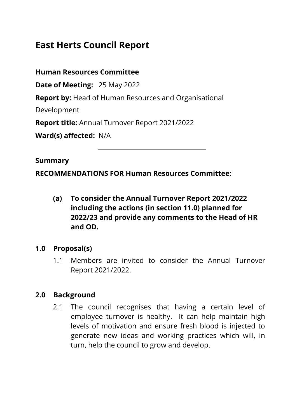# **East Herts Council Report**

**Human Resources Committee** 

**Date of Meeting:** 25 May 2022

**Report by:** Head of Human Resources and Organisational

Development

**Report title:** Annual Turnover Report 2021/2022

**Ward(s) affected:** N/A

#### **Summary**

**RECOMMENDATIONS FOR Human Resources Committee:** 

**(a) To consider the Annual Turnover Report 2021/2022 including the actions (in section 11.0) planned for 2022/23 and provide any comments to the Head of HR and OD.**

### **1.0 Proposal(s)**

1.1 Members are invited to consider the Annual Turnover Report 2021/2022.

### **2.0 Background**

2.1 The council recognises that having a certain level of employee turnover is healthy. It can help maintain high levels of motivation and ensure fresh blood is injected to generate new ideas and working practices which will, in turn, help the council to grow and develop.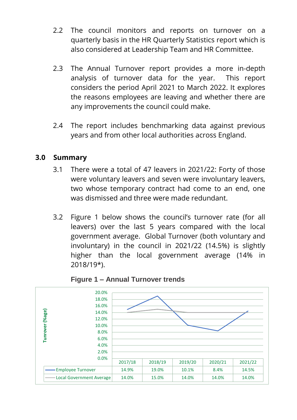- 2.2 The council monitors and reports on turnover on a quarterly basis in the HR Quarterly Statistics report which is also considered at Leadership Team and HR Committee.
- 2.3 The Annual Turnover report provides a more in-depth analysis of turnover data for the year. This report considers the period April 2021 to March 2022. It explores the reasons employees are leaving and whether there are any improvements the council could make.
- 2.4 The report includes benchmarking data against previous years and from other local authorities across England.

### **3.0 Summary**

- 3.1 There were a total of 47 leavers in 2021/22: Forty of those were voluntary leavers and seven were involuntary leavers, two whose temporary contract had come to an end, one was dismissed and three were made redundant.
- 3.2 Figure 1 below shows the council's turnover rate (for all leavers) over the last 5 years compared with the local government average. Global Turnover (both voluntary and involuntary) in the council in 2021/22 (14.5%) is slightly higher than the local government average (14% in 2018/19\*).



**Figure 1 – Annual Turnover trends**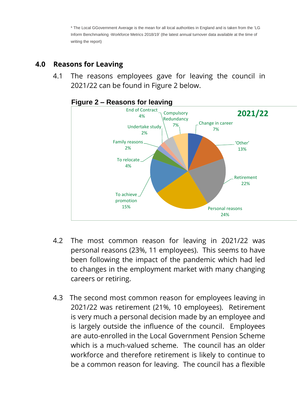\* The Local GGovernment Average is the mean for all local authorities in England and is taken from the 'LG Inform Benchmarking -Workforce Metrics 2018/19' (the latest annual turnover data available at the time of writing the report)

## **4.0 Reasons for Leaving**

4.1 The reasons employees gave for leaving the council in 2021/22 can be found in Figure 2 below.



#### **Figure 2 – Reasons for leaving**

- 4.2 The most common reason for leaving in 2021/22 was personal reasons (23%, 11 employees). This seems to have been following the impact of the pandemic which had led to changes in the employment market with many changing careers or retiring.
- 4.3 The second most common reason for employees leaving in 2021/22 was retirement (21%, 10 employees). Retirement is very much a personal decision made by an employee and is largely outside the influence of the council. Employees are auto-enrolled in the Local Government Pension Scheme which is a much-valued scheme. The council has an older workforce and therefore retirement is likely to continue to be a common reason for leaving. The council has a flexible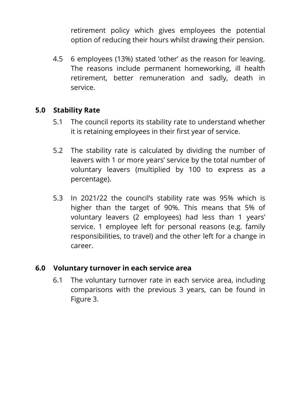retirement policy which gives employees the potential option of reducing their hours whilst drawing their pension.

4.5 6 employees (13%) stated 'other' as the reason for leaving. The reasons include permanent homeworking, ill health retirement, better remuneration and sadly, death in service.

### **5.0 Stability Rate**

- 5.1 The council reports its stability rate to understand whether it is retaining employees in their first year of service.
- 5.2 The stability rate is calculated by dividing the number of leavers with 1 or more years' service by the total number of voluntary leavers (multiplied by 100 to express as a percentage).
- 5.3 In 2021/22 the council's stability rate was 95% which is higher than the target of 90%. This means that 5% of voluntary leavers (2 employees) had less than 1 years' service. 1 employee left for personal reasons (e.g. family responsibilities, to travel) and the other left for a change in career.

### **6.0 Voluntary turnover in each service area**

6.1 The voluntary turnover rate in each service area, including comparisons with the previous 3 years, can be found in Figure 3.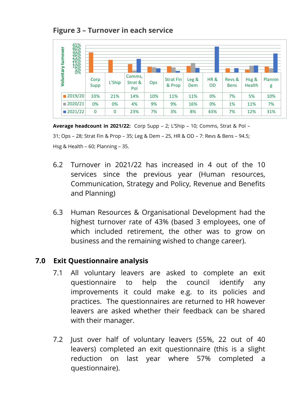### **Figure 3 – Turnover in each service**



**Average headcount in 2021/22:** Corp Supp – 2; L'Ship – 10; Comms, Strat & Pol – 31; Ops – 28; Strat Fin & Prop – 35; Leg & Dem – 25, HR & OD – 7: Revs & Bens – 94.5; Hsg & Health – 60; Planning – 35.

- 6.2 Turnover in 2021/22 has increased in 4 out of the 10 services since the previous year (Human resources, Communication, Strategy and Policy, Revenue and Benefits and Planning)
- 6.3 Human Resources & Organisational Development had the highest turnover rate of 43% (based 3 employees, one of which included retirement, the other was to grow on business and the remaining wished to change career).

### **7.0 Exit Questionnaire analysis**

- 7.1 All voluntary leavers are asked to complete an exit questionnaire to help the council identify any improvements it could make e.g. to its policies and practices. The questionnaires are returned to HR however leavers are asked whether their feedback can be shared with their manager.
- 7.2 Just over half of voluntary leavers (55%, 22 out of 40 leavers) completed an exit questionnaire (this is a slight reduction on last year where 57% completed a questionnaire).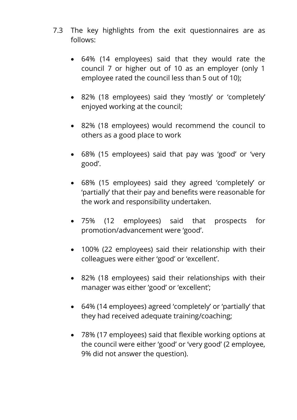- 7.3 The key highlights from the exit questionnaires are as follows:
	- 64% (14 employees) said that they would rate the council 7 or higher out of 10 as an employer (only 1 employee rated the council less than 5 out of 10);
	- 82% (18 employees) said they 'mostly' or 'completely' enjoyed working at the council;
	- 82% (18 employees) would recommend the council to others as a good place to work
	- 68% (15 employees) said that pay was 'good' or 'very good'.
	- 68% (15 employees) said they agreed 'completely' or 'partially' that their pay and benefits were reasonable for the work and responsibility undertaken.
	- 75% (12 employees) said that prospects for promotion/advancement were 'good'.
	- 100% (22 employees) said their relationship with their colleagues were either 'good' or 'excellent'.
	- 82% (18 employees) said their relationships with their manager was either 'good' or 'excellent';
	- 64% (14 employees) agreed 'completely' or 'partially' that they had received adequate training/coaching;
	- 78% (17 employees) said that flexible working options at the council were either 'good' or 'very good' (2 employee, 9% did not answer the question).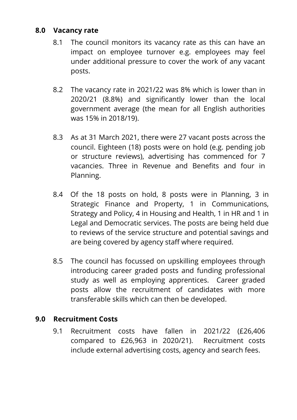### **8.0 Vacancy rate**

- 8.1 The council monitors its vacancy rate as this can have an impact on employee turnover e.g. employees may feel under additional pressure to cover the work of any vacant posts.
- 8.2 The vacancy rate in 2021/22 was 8% which is lower than in 2020/21 (8.8%) and significantly lower than the local government average (the mean for all English authorities was 15% in 2018/19).
- 8.3 As at 31 March 2021, there were 27 vacant posts across the council. Eighteen (18) posts were on hold (e.g. pending job or structure reviews), advertising has commenced for 7 vacancies. Three in Revenue and Benefits and four in Planning.
- 8.4 Of the 18 posts on hold, 8 posts were in Planning, 3 in Strategic Finance and Property, 1 in Communications, Strategy and Policy, 4 in Housing and Health, 1 in HR and 1 in Legal and Democratic services. The posts are being held due to reviews of the service structure and potential savings and are being covered by agency staff where required.
- 8.5 The council has focussed on upskilling employees through introducing career graded posts and funding professional study as well as employing apprentices. Career graded posts allow the recruitment of candidates with more transferable skills which can then be developed.

### **9.0 Recruitment Costs**

9.1 Recruitment costs have fallen in 2021/22 (£26,406 compared to £26,963 in 2020/21). Recruitment costs include external advertising costs, agency and search fees.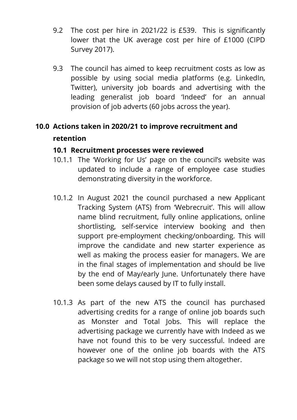- 9.2 The cost per hire in 2021/22 is £539. This is significantly lower that the UK average cost per hire of £1000 (CIPD Survey 2017).
- 9.3 The council has aimed to keep recruitment costs as low as possible by using social media platforms (e.g. LinkedIn, Twitter), university job boards and advertising with the leading generalist job board 'Indeed' for an annual provision of job adverts (60 jobs across the year).

# **10.0 Actions taken in 2020/21 to improve recruitment and retention**

### **10.1 Recruitment processes were reviewed**

- 10.1.1 The 'Working for Us' page on the council's website was updated to include a range of employee case studies demonstrating diversity in the workforce.
- 10.1.2 In August 2021 the council purchased a new Applicant Tracking System (ATS) from 'Webrecruit'. This will allow name blind recruitment, fully online applications, online shortlisting, self-service interview booking and then support pre-employment checking/onboarding. This will improve the candidate and new starter experience as well as making the process easier for managers. We are in the final stages of implementation and should be live by the end of May/early June. Unfortunately there have been some delays caused by IT to fully install.
- 10.1.3 As part of the new ATS the council has purchased advertising credits for a range of online job boards such as Monster and Total Jobs. This will replace the advertising package we currently have with Indeed as we have not found this to be very successful. Indeed are however one of the online job boards with the ATS package so we will not stop using them altogether.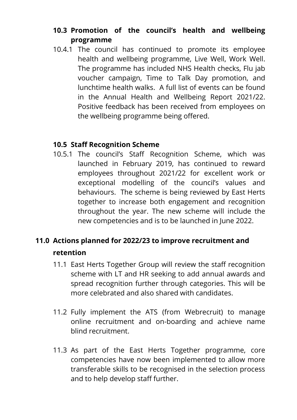## **10.3 Promotion of the council's health and wellbeing programme**

10.4.1 The council has continued to promote its employee health and wellbeing programme, Live Well, Work Well. The programme has included NHS Health checks, Flu jab voucher campaign, Time to Talk Day promotion, and lunchtime health walks. A full list of events can be found in the Annual Health and Wellbeing Report 2021/22. Positive feedback has been received from employees on the wellbeing programme being offered.

### **10.5 Staff Recognition Scheme**

10.5.1 The council's Staff Recognition Scheme, which was launched in February 2019, has continued to reward employees throughout 2021/22 for excellent work or exceptional modelling of the council's values and behaviours. The scheme is being reviewed by East Herts together to increase both engagement and recognition throughout the year. The new scheme will include the new competencies and is to be launched in June 2022.

# **11.0 Actions planned for 2022/23 to improve recruitment and retention**

- 11.1 East Herts Together Group will review the staff recognition scheme with LT and HR seeking to add annual awards and spread recognition further through categories. This will be more celebrated and also shared with candidates.
- 11.2 Fully implement the ATS (from Webrecruit) to manage online recruitment and on-boarding and achieve name blind recruitment.
- 11.3 As part of the East Herts Together programme, core competencies have now been implemented to allow more transferable skills to be recognised in the selection process and to help develop staff further.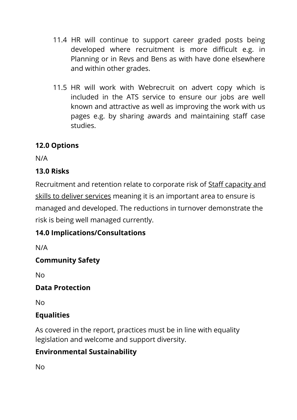- 11.4 HR will continue to support career graded posts being developed where recruitment is more difficult e.g. in Planning or in Revs and Bens as with have done elsewhere and within other grades.
- 11.5 HR will work with Webrecruit on advert copy which is included in the ATS service to ensure our jobs are well known and attractive as well as improving the work with us pages e.g. by sharing awards and maintaining staff case studies.

# **12.0 Options**

N/A

# **13.0 Risks**

Recruitment and retention relate to corporate risk of Staff capacity and skills to deliver services meaning it is an important area to ensure is managed and developed. The reductions in turnover demonstrate the risk is being well managed currently.

# **14.0 Implications/Consultations**

N/A

# **Community Safety**

No

# **Data Protection**

No

# **Equalities**

As covered in the report, practices must be in line with equality legislation and welcome and support diversity.

# **Environmental Sustainability**

No